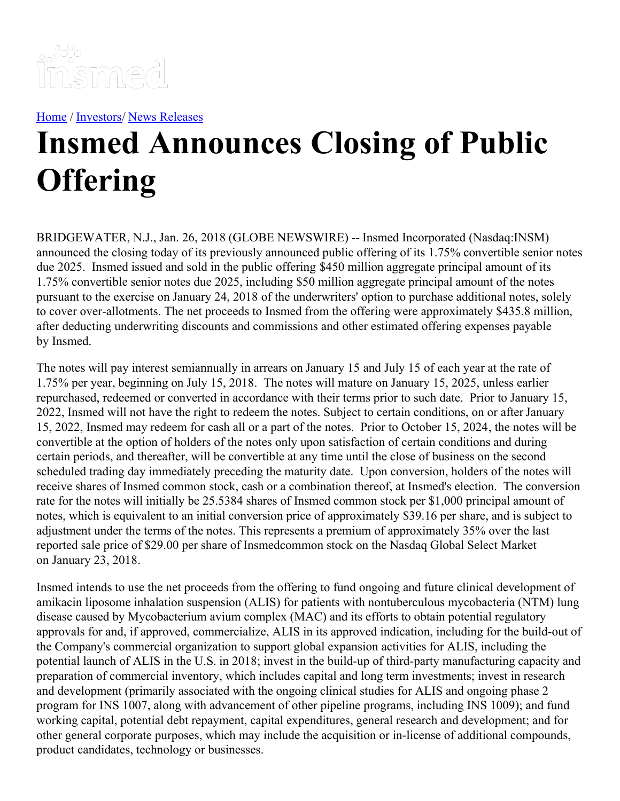

[Home](https://insmed.com/) / [Investors](https://investor.insmed.com/index)/ News [Releases](https://investor.insmed.com/releases)

## **Insmed Announces Closing of Public Offering**

BRIDGEWATER, N.J., Jan. 26, 2018 (GLOBE NEWSWIRE) -- Insmed Incorporated (Nasdaq:INSM) announced the closing today of its previously announced public offering of its 1.75% convertible senior notes due 2025. Insmed issued and sold in the public offering \$450 million aggregate principal amount of its 1.75% convertible senior notes due 2025, including \$50 million aggregate principal amount of the notes pursuant to the exercise on January 24, 2018 of the underwriters' option to purchase additional notes, solely to cover over-allotments. The net proceeds to Insmed from the offering were approximately \$435.8 million, after deducting underwriting discounts and commissions and other estimated offering expenses payable by Insmed.

The notes will pay interest semiannually in arrears on January 15 and July 15 of each year at the rate of 1.75% per year, beginning on July 15, 2018. The notes will mature on January 15, 2025, unless earlier repurchased, redeemed or converted in accordance with their terms prior to such date. Prior to January 15, 2022, Insmed will not have the right to redeem the notes. Subject to certain conditions, on or after January 15, 2022, Insmed may redeem for cash all or a part of the notes. Prior to October 15, 2024, the notes will be convertible at the option of holders of the notes only upon satisfaction of certain conditions and during certain periods, and thereafter, will be convertible at any time until the close of business on the second scheduled trading day immediately preceding the maturity date. Upon conversion, holders of the notes will receive shares of Insmed common stock, cash or a combination thereof, at Insmed's election. The conversion rate for the notes will initially be 25.5384 shares of Insmed common stock per \$1,000 principal amount of notes, which is equivalent to an initial conversion price of approximately \$39.16 per share, and is subject to adjustment under the terms of the notes. This represents a premium of approximately 35% over the last reported sale price of \$29.00 per share of Insmedcommon stock on the Nasdaq Global Select Market on January 23, 2018.

Insmed intends to use the net proceeds from the offering to fund ongoing and future clinical development of amikacin liposome inhalation suspension (ALIS) for patients with nontuberculous mycobacteria (NTM) lung disease caused by Mycobacterium avium complex (MAC) and its efforts to obtain potential regulatory approvals for and, if approved, commercialize, ALIS in its approved indication, including for the build-out of the Company's commercial organization to support global expansion activities for ALIS, including the potential launch of ALIS in the U.S. in 2018; invest in the build-up of third-party manufacturing capacity and preparation of commercial inventory, which includes capital and long term investments; invest in research and development (primarily associated with the ongoing clinical studies for ALIS and ongoing phase 2 program for INS 1007, along with advancement of other pipeline programs, including INS 1009); and fund working capital, potential debt repayment, capital expenditures, general research and development; and for other general corporate purposes, which may include the acquisition or in‑license of additional compounds, product candidates, technology or businesses.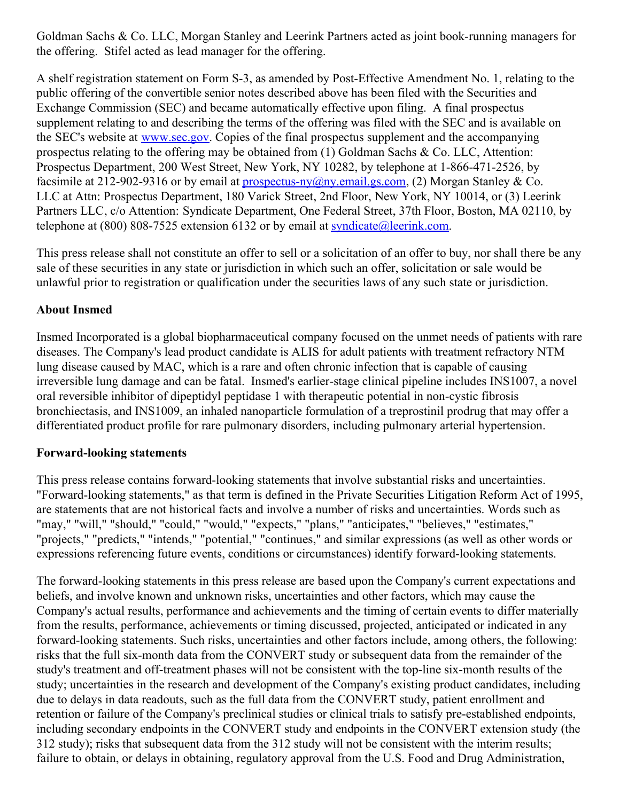Goldman Sachs & Co. LLC, Morgan Stanley and Leerink Partners acted as joint book-running managers for the offering. Stifel acted as lead manager for the offering.

A shelf registration statement on Form S-3, as amended by Post-Effective Amendment No. 1, relating to the public offering of the convertible senior notes described above has been filed with the Securities and Exchange Commission (SEC) and became automatically effective upon filing. A final prospectus supplement relating to and describing the terms of the offering was filed with the SEC and is available on the SEC's website at [www.sec.gov](http://www.sec.gov/). Copies of the final prospectus supplement and the accompanying prospectus relating to the offering may be obtained from (1) Goldman Sachs & Co. LLC, Attention: Prospectus Department, 200 West Street, New York, NY 10282, by telephone at 1-866-471-2526, by facsimile at 212-902-9316 or by email at prospectus-ny $(\partial_n)$  email.gs.com, (2) Morgan Stanley & Co. LLC at Attn: Prospectus Department, 180 Varick Street, 2nd Floor, New York, NY 10014, or (3) Leerink Partners LLC, c/o Attention: Syndicate Department, One Federal Street, 37th Floor, Boston, MA 02110, by telephone at  $(800)$  808-7525 extension 6132 or by email at syndicate (a) leerink.com.

This press release shall not constitute an offer to sell or a solicitation of an offer to buy, nor shall there be any sale of these securities in any state or jurisdiction in which such an offer, solicitation or sale would be unlawful prior to registration or qualification under the securities laws of any such state or jurisdiction.

## **About Insmed**

Insmed Incorporated is a global biopharmaceutical company focused on the unmet needs of patients with rare diseases. The Company's lead product candidate is ALIS for adult patients with treatment refractory NTM lung disease caused by MAC, which is a rare and often chronic infection that is capable of causing irreversible lung damage and can be fatal. Insmed's earlier-stage clinical pipeline includes INS1007, a novel oral reversible inhibitor of dipeptidyl peptidase 1 with therapeutic potential in non-cystic fibrosis bronchiectasis, and INS1009, an inhaled nanoparticle formulation of a treprostinil prodrug that may offer a differentiated product profile for rare pulmonary disorders, including pulmonary arterial hypertension.

## **Forward-looking statements**

This press release contains forward-looking statements that involve substantial risks and uncertainties. "Forward-looking statements," as that term is defined in the Private Securities Litigation Reform Act of 1995, are statements that are not historical facts and involve a number of risks and uncertainties. Words such as "may," "will," "should," "could," "would," "expects," "plans," "anticipates," "believes," "estimates," "projects," "predicts," "intends," "potential," "continues," and similar expressions (as well as other words or expressions referencing future events, conditions or circumstances) identify forward-looking statements.

The forward-looking statements in this press release are based upon the Company's current expectations and beliefs, and involve known and unknown risks, uncertainties and other factors, which may cause the Company's actual results, performance and achievements and the timing of certain events to differ materially from the results, performance, achievements or timing discussed, projected, anticipated or indicated in any forward-looking statements. Such risks, uncertainties and other factors include, among others, the following: risks that the full six-month data from the CONVERT study or subsequent data from the remainder of the study's treatment and off-treatment phases will not be consistent with the top-line six-month results of the study; uncertainties in the research and development of the Company's existing product candidates, including due to delays in data readouts, such as the full data from the CONVERT study, patient enrollment and retention or failure of the Company's preclinical studies or clinical trials to satisfy pre-established endpoints, including secondary endpoints in the CONVERT study and endpoints in the CONVERT extension study (the 312 study); risks that subsequent data from the 312 study will not be consistent with the interim results; failure to obtain, or delays in obtaining, regulatory approval from the U.S. Food and Drug Administration,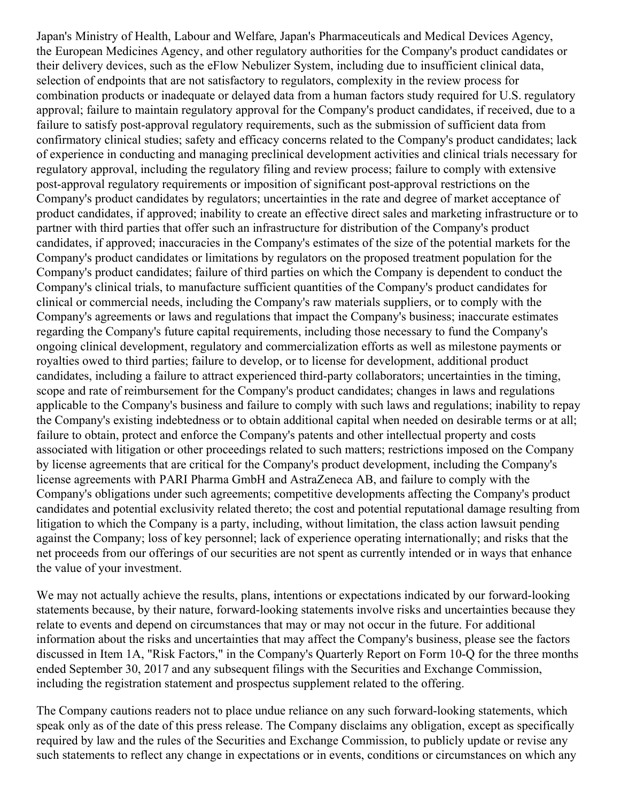Japan's Ministry of Health, Labour and Welfare, Japan's Pharmaceuticals and Medical Devices Agency, the European Medicines Agency, and other regulatory authorities for the Company's product candidates or their delivery devices, such as the eFlow Nebulizer System, including due to insufficient clinical data, selection of endpoints that are not satisfactory to regulators, complexity in the review process for combination products or inadequate or delayed data from a human factors study required for U.S. regulatory approval; failure to maintain regulatory approval for the Company's product candidates, if received, due to a failure to satisfy post-approval regulatory requirements, such as the submission of sufficient data from confirmatory clinical studies; safety and efficacy concerns related to the Company's product candidates; lack of experience in conducting and managing preclinical development activities and clinical trials necessary for regulatory approval, including the regulatory filing and review process; failure to comply with extensive post-approval regulatory requirements or imposition of significant post-approval restrictions on the Company's product candidates by regulators; uncertainties in the rate and degree of market acceptance of product candidates, if approved; inability to create an effective direct sales and marketing infrastructure or to partner with third parties that offer such an infrastructure for distribution of the Company's product candidates, if approved; inaccuracies in the Company's estimates of the size of the potential markets for the Company's product candidates or limitations by regulators on the proposed treatment population for the Company's product candidates; failure of third parties on which the Company is dependent to conduct the Company's clinical trials, to manufacture sufficient quantities of the Company's product candidates for clinical or commercial needs, including the Company's raw materials suppliers, or to comply with the Company's agreements or laws and regulations that impact the Company's business; inaccurate estimates regarding the Company's future capital requirements, including those necessary to fund the Company's ongoing clinical development, regulatory and commercialization efforts as well as milestone payments or royalties owed to third parties; failure to develop, or to license for development, additional product candidates, including a failure to attract experienced third-party collaborators; uncertainties in the timing, scope and rate of reimbursement for the Company's product candidates; changes in laws and regulations applicable to the Company's business and failure to comply with such laws and regulations; inability to repay the Company's existing indebtedness or to obtain additional capital when needed on desirable terms or at all; failure to obtain, protect and enforce the Company's patents and other intellectual property and costs associated with litigation or other proceedings related to such matters; restrictions imposed on the Company by license agreements that are critical for the Company's product development, including the Company's license agreements with PARI Pharma GmbH and AstraZeneca AB, and failure to comply with the Company's obligations under such agreements; competitive developments affecting the Company's product candidates and potential exclusivity related thereto; the cost and potential reputational damage resulting from litigation to which the Company is a party, including, without limitation, the class action lawsuit pending against the Company; loss of key personnel; lack of experience operating internationally; and risks that the net proceeds from our offerings of our securities are not spent as currently intended or in ways that enhance the value of your investment.

We may not actually achieve the results, plans, intentions or expectations indicated by our forward-looking statements because, by their nature, forward-looking statements involve risks and uncertainties because they relate to events and depend on circumstances that may or may not occur in the future. For additional information about the risks and uncertainties that may affect the Company's business, please see the factors discussed in Item 1A, "Risk Factors," in the Company's Quarterly Report on Form 10-Q for the three months ended September 30, 2017 and any subsequent filings with the Securities and Exchange Commission, including the registration statement and prospectus supplement related to the offering.

The Company cautions readers not to place undue reliance on any such forward-looking statements, which speak only as of the date of this press release. The Company disclaims any obligation, except as specifically required by law and the rules of the Securities and Exchange Commission, to publicly update or revise any such statements to reflect any change in expectations or in events, conditions or circumstances on which any